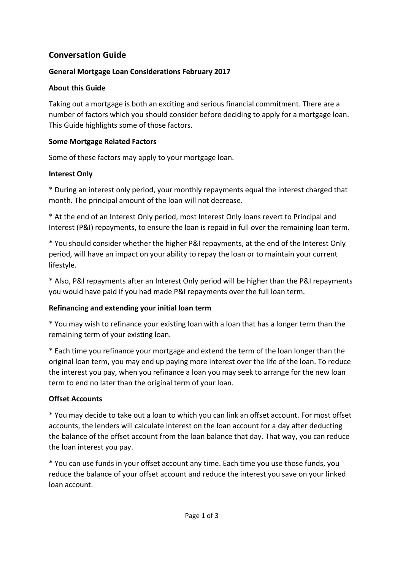# **Conversation Guide**

#### **General Mortgage Loan Considerations February 2017**

#### **About this Guide**

Taking out a mortgage is both an exciting and serious financial commitment. There are a number of factors which you should consider before deciding to apply for a mortgage loan. This Guide highlights some of those factors.

#### **Some Mortgage Related Factors**

Some of these factors may apply to your mortgage loan.

## **Interest Only**

\* During an interest only period, your monthly repayments equal the interest charged that month. The principal amount of the loan will not decrease.

\* At the end of an Interest Only period, most Interest Only loans revert to Principal and Interest (P&I) repayments, to ensure the loan is repaid in full over the remaining loan term.

\* You should consider whether the higher P&I repayments, at the end of the Interest Only period, will have an impact on your ability to repay the loan or to maintain your current lifestyle.

\* Also, P&I repayments after an Interest Only period will be higher than the P&I repayments you would have paid if you had made P&I repayments over the full loan term.

## **Refinancing and extending your initial loan term**

\* You may wish to refinance your existing loan with a loan that has a longer term than the remaining term of your existing loan.

\* Each time you refinance your mortgage and extend the term of the loan longer than the original loan term, you may end up paying more interest over the life of the loan. To reduce the interest you pay, when you refinance a loan you may seek to arrange for the new loan term to end no later than the original term of your loan.

## **Offset Accounts**

\* You may decide to take out a loan to which you can link an offset account. For most offset accounts, the lenders will calculate interest on the loan account for a day after deducting the balance of the offset account from the loan balance that day. That way, you can reduce the loan interest you pay.

\* You can use funds in your offset account any time. Each time you use those funds, you reduce the balance of your offset account and reduce the interest you save on your linked loan account.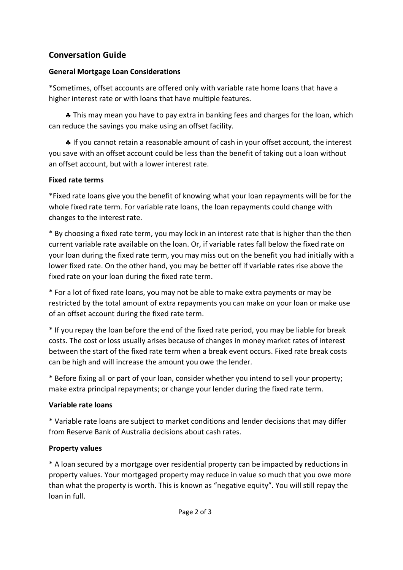# **Conversation Guide**

#### **General Mortgage Loan Considerations**

\*Sometimes, offset accounts are offered only with variable rate home loans that have a higher interest rate or with loans that have multiple features.

 § This may mean you have to pay extra in banking fees and charges for the loan, which can reduce the savings you make using an offset facility.

 § If you cannot retain a reasonable amount of cash in your offset account, the interest you save with an offset account could be less than the benefit of taking out a loan without an offset account, but with a lower interest rate.

## **Fixed rate terms**

\*Fixed rate loans give you the benefit of knowing what your loan repayments will be for the whole fixed rate term. For variable rate loans, the loan repayments could change with changes to the interest rate.

\* By choosing a fixed rate term, you may lock in an interest rate that is higher than the then current variable rate available on the loan. Or, if variable rates fall below the fixed rate on your loan during the fixed rate term, you may miss out on the benefit you had initially with a lower fixed rate. On the other hand, you may be better off if variable rates rise above the fixed rate on your loan during the fixed rate term.

\* For a lot of fixed rate loans, you may not be able to make extra payments or may be restricted by the total amount of extra repayments you can make on your loan or make use of an offset account during the fixed rate term.

\* If you repay the loan before the end of the fixed rate period, you may be liable for break costs. The cost or loss usually arises because of changes in money market rates of interest between the start of the fixed rate term when a break event occurs. Fixed rate break costs can be high and will increase the amount you owe the lender.

\* Before fixing all or part of your loan, consider whether you intend to sell your property; make extra principal repayments; or change your lender during the fixed rate term.

## **Variable rate loans**

\* Variable rate loans are subject to market conditions and lender decisions that may differ from Reserve Bank of Australia decisions about cash rates.

## **Property values**

\* A loan secured by a mortgage over residential property can be impacted by reductions in property values. Your mortgaged property may reduce in value so much that you owe more than what the property is worth. This is known as "negative equity". You will still repay the loan in full.